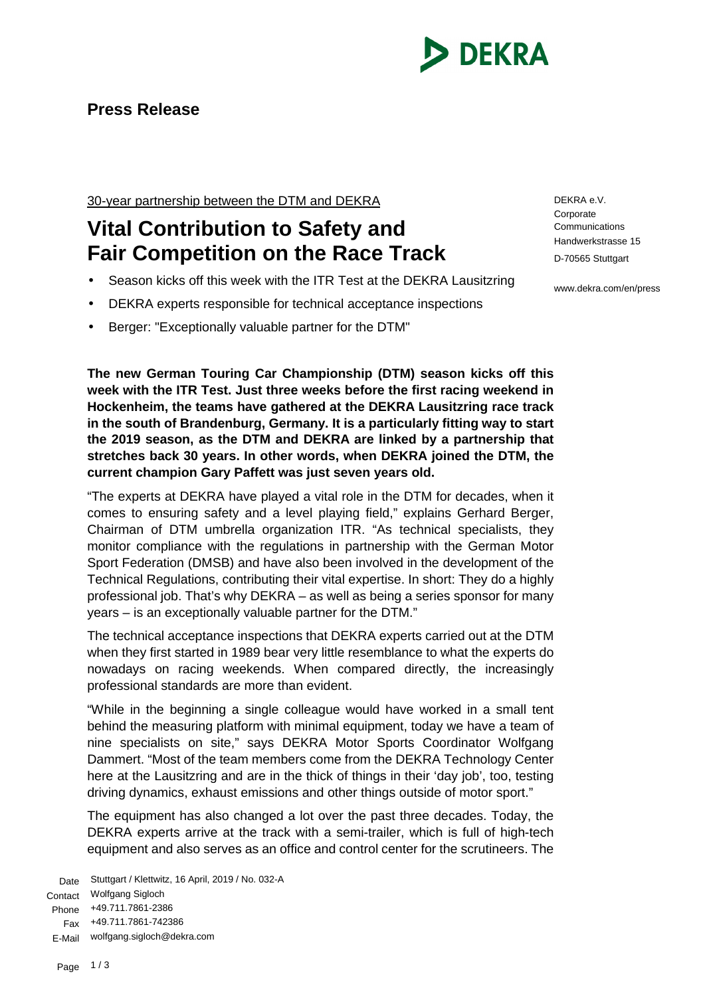

## **Press Release**

30-year partnership between the DTM and DEKRA

## **Vital Contribution to Safety and Fair Competition on the Race Track**

- Season kicks off this week with the ITR Test at the DEKRA Lausitzring
- DEKRA experts responsible for technical acceptance inspections
- Berger: "Exceptionally valuable partner for the DTM"

**The new German Touring Car Championship (DTM) season kicks off this week with the ITR Test. Just three weeks before the first racing weekend in Hockenheim, the teams have gathered at the DEKRA Lausitzring race track in the south of Brandenburg, Germany. It is a particularly fitting way to start the 2019 season, as the DTM and DEKRA are linked by a partnership that stretches back 30 years. In other words, when DEKRA joined the DTM, the current champion Gary Paffett was just seven years old.**

"The experts at DEKRA have played a vital role in the DTM for decades, when it comes to ensuring safety and a level playing field," explains Gerhard Berger, Chairman of DTM umbrella organization ITR. "As technical specialists, they monitor compliance with the regulations in partnership with the German Motor Sport Federation (DMSB) and have also been involved in the development of the Technical Regulations, contributing their vital expertise. In short: They do a highly professional job. That's why DEKRA – as well as being a series sponsor for many years – is an exceptionally valuable partner for the DTM."

The technical acceptance inspections that DEKRA experts carried out at the DTM when they first started in 1989 bear very little resemblance to what the experts do nowadays on racing weekends. When compared directly, the increasingly professional standards are more than evident.

"While in the beginning a single colleague would have worked in a small tent behind the measuring platform with minimal equipment, today we have a team of nine specialists on site," says DEKRA Motor Sports Coordinator Wolfgang Dammert. "Most of the team members come from the DEKRA Technology Center here at the Lausitzring and are in the thick of things in their 'day job', too, testing driving dynamics, exhaust emissions and other things outside of motor sport."

The equipment has also changed a lot over the past three decades. Today, the DEKRA experts arrive at the track with a semi-trailer, which is full of high-tech equipment and also serves as an office and control center for the scrutineers. The

Date Stuttgart / Klettwitz, 16 April, 2019 / No. 032-A Contact Wolfgang Sigloch Phone +49.711.7861-2386 Fax +49.711.7861-742386 E-Mail wolfgang.sigloch@dekra.com

DEKRA e.V. **Corporate Communications** Handwerkstrasse 15 D-70565 Stuttgart

www.dekra.com/en/press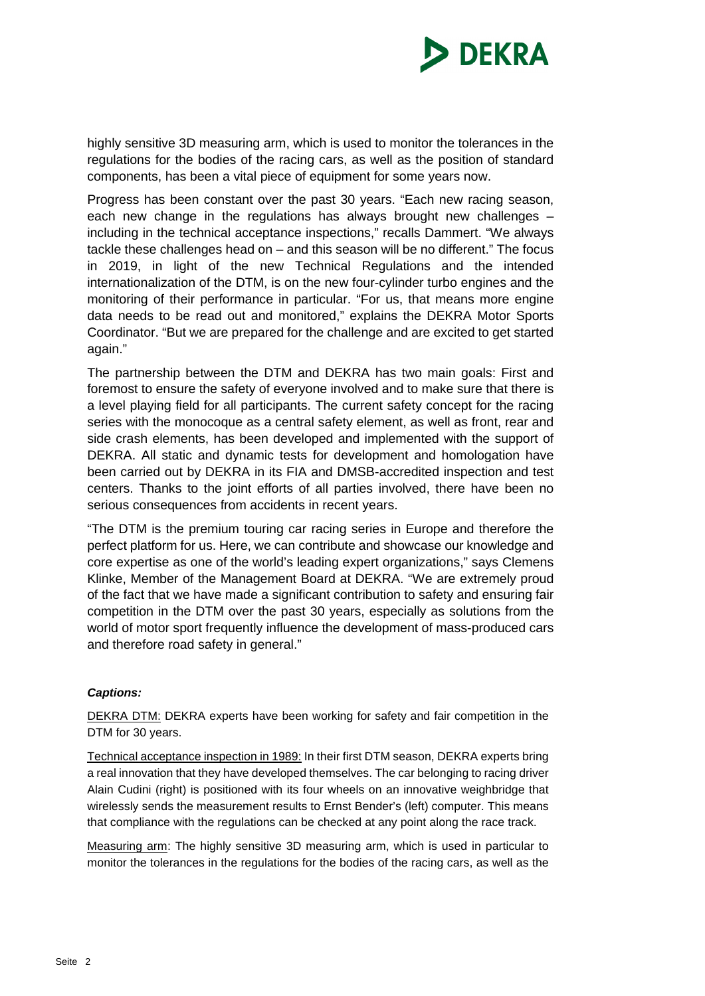

highly sensitive 3D measuring arm, which is used to monitor the tolerances in the regulations for the bodies of the racing cars, as well as the position of standard components, has been a vital piece of equipment for some years now.

Progress has been constant over the past 30 years. "Each new racing season, each new change in the regulations has always brought new challenges – including in the technical acceptance inspections," recalls Dammert. "We always tackle these challenges head on – and this season will be no different." The focus in 2019, in light of the new Technical Regulations and the intended internationalization of the DTM, is on the new four-cylinder turbo engines and the monitoring of their performance in particular. "For us, that means more engine data needs to be read out and monitored," explains the DEKRA Motor Sports Coordinator. "But we are prepared for the challenge and are excited to get started again."

The partnership between the DTM and DEKRA has two main goals: First and foremost to ensure the safety of everyone involved and to make sure that there is a level playing field for all participants. The current safety concept for the racing series with the monocoque as a central safety element, as well as front, rear and side crash elements, has been developed and implemented with the support of DEKRA. All static and dynamic tests for development and homologation have been carried out by DEKRA in its FIA and DMSB-accredited inspection and test centers. Thanks to the joint efforts of all parties involved, there have been no serious consequences from accidents in recent years.

"The DTM is the premium touring car racing series in Europe and therefore the perfect platform for us. Here, we can contribute and showcase our knowledge and core expertise as one of the world's leading expert organizations," says Clemens Klinke, Member of the Management Board at DEKRA. "We are extremely proud of the fact that we have made a significant contribution to safety and ensuring fair competition in the DTM over the past 30 years, especially as solutions from the world of motor sport frequently influence the development of mass-produced cars and therefore road safety in general."

## *Captions:*

DEKRA DTM: DEKRA experts have been working for safety and fair competition in the DTM for 30 years.

Technical acceptance inspection in 1989: In their first DTM season, DEKRA experts bring a real innovation that they have developed themselves. The car belonging to racing driver Alain Cudini (right) is positioned with its four wheels on an innovative weighbridge that wirelessly sends the measurement results to Ernst Bender's (left) computer. This means that compliance with the regulations can be checked at any point along the race track.

Measuring arm: The highly sensitive 3D measuring arm, which is used in particular to monitor the tolerances in the regulations for the bodies of the racing cars, as well as the